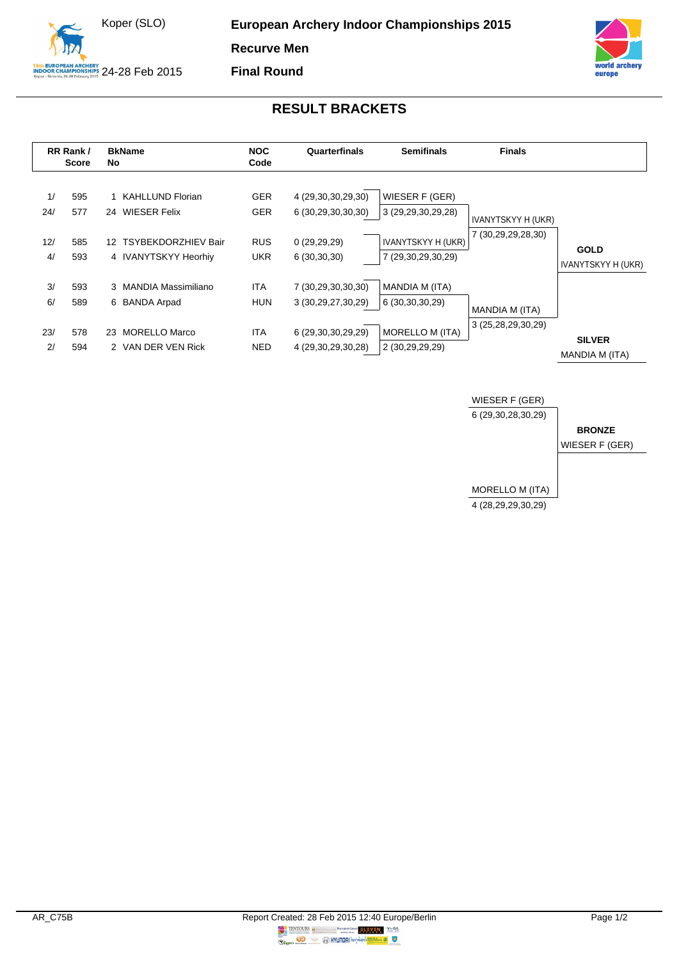



## **RESULT BRACKETS**